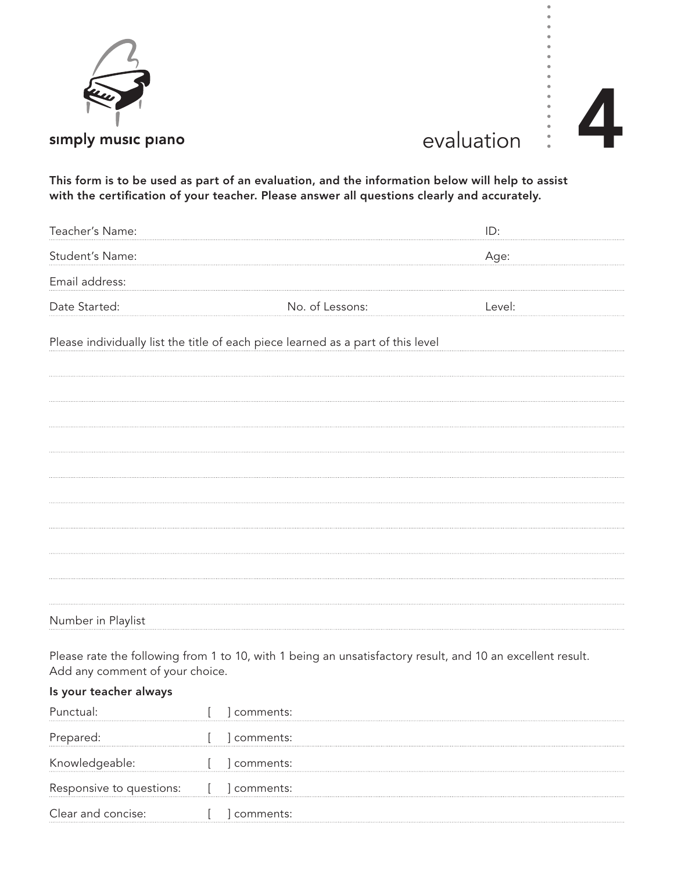

## evaluation

This form is to be used as part of an evaluation, and the information below will help to assist with the certification of your teacher. Please answer all questions clearly and accurately.

| Teacher's Name:                                                                  |                 | ID:    |
|----------------------------------------------------------------------------------|-----------------|--------|
| Student's Name:                                                                  |                 | Age:   |
| Email address:                                                                   |                 |        |
| Date Started:                                                                    | No. of Lessons: | Level: |
| Please individually list the title of each piece learned as a part of this level |                 |        |
|                                                                                  |                 |        |
|                                                                                  |                 |        |
|                                                                                  |                 |        |
|                                                                                  |                 |        |
|                                                                                  |                 |        |
|                                                                                  |                 |        |
|                                                                                  |                 |        |
|                                                                                  |                 |        |
| Number in Playlist                                                               |                 |        |

Please rate the following from 1 to 10, with 1 being an unsatisfactory result, and 10 an excellent result. Add any comment of your choice.

## Is your teacher always

|                            | comments: |
|----------------------------|-----------|
| Prepared:                  | comments: |
| Knowledgeable:             | comments: |
| Responsive to questions: [ | comments: |
| Clear and concise:         | comments: |